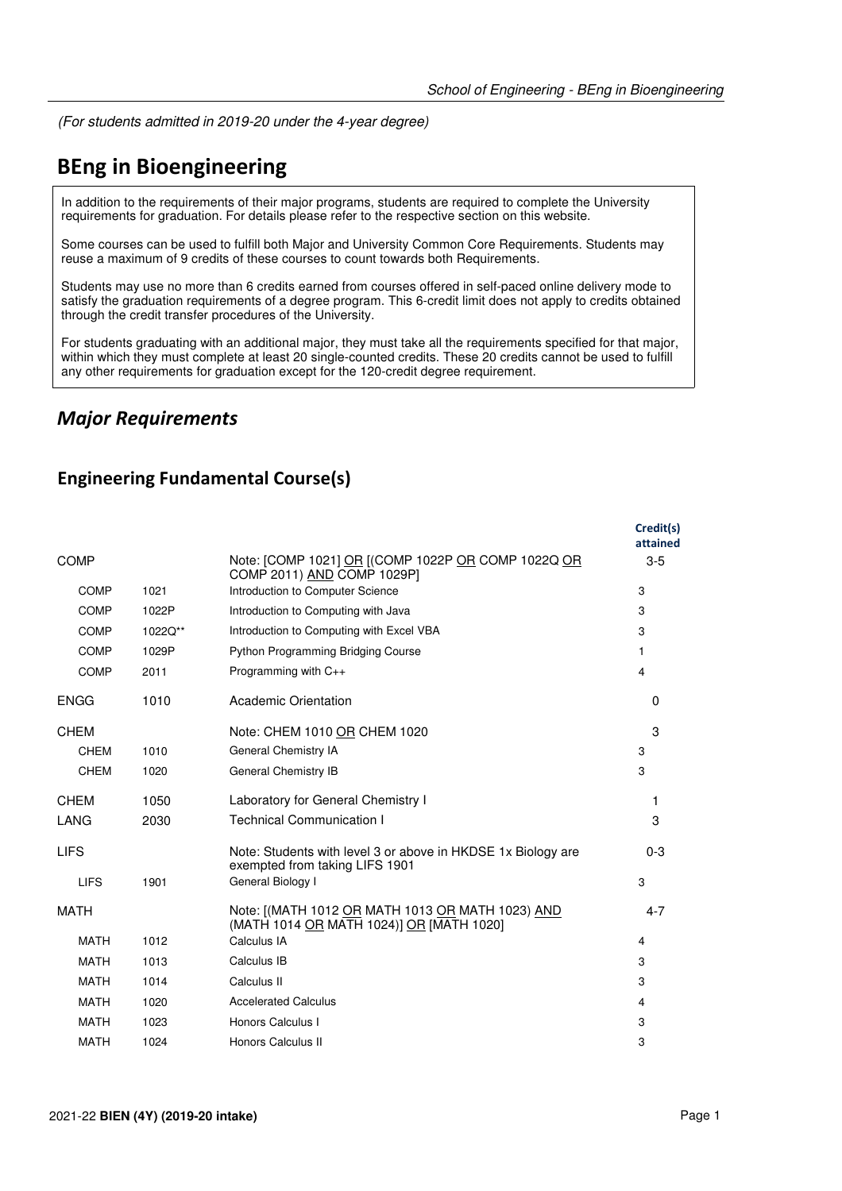(For students admitted in 2019-20 under the 4-year degree)

# **BEng in Bioengineering**

In addition to the requirements of their major programs, students are required to complete the University requirements for graduation. For details please refer to the respective section on this website.

Some courses can be used to fulfill both Major and University Common Core Requirements. Students may reuse a maximum of 9 credits of these courses to count towards both Requirements.

Students may use no more than 6 credits earned from courses offered in self-paced online delivery mode to satisfy the graduation requirements of a degree program. This 6-credit limit does not apply to credits obtained through the credit transfer procedures of the University.

For students graduating with an additional major, they must take all the requirements specified for that major, within which they must complete at least 20 single-counted credits. These 20 credits cannot be used to fulfill any other requirements for graduation except for the 120-credit degree requirement.

#### *Major Requirements*

#### **Engineering Fundamental Course(s)**

|             |         |                                                                                                | Credit(s)<br>attained |
|-------------|---------|------------------------------------------------------------------------------------------------|-----------------------|
| <b>COMP</b> |         | Note: [COMP 1021] OR [(COMP 1022P OR COMP 1022Q OR<br>COMP 2011) AND COMP 1029P1               | $3-5$                 |
| <b>COMP</b> | 1021    | Introduction to Computer Science                                                               | 3                     |
| COMP        | 1022P   | Introduction to Computing with Java                                                            | 3                     |
| <b>COMP</b> | 1022Q** | Introduction to Computing with Excel VBA                                                       | 3                     |
| <b>COMP</b> | 1029P   | Python Programming Bridging Course                                                             | 1                     |
| <b>COMP</b> | 2011    | Programming with C++                                                                           | 4                     |
| <b>ENGG</b> | 1010    | Academic Orientation                                                                           | $\Omega$              |
| <b>CHEM</b> |         | Note: CHEM 1010 OR CHEM 1020                                                                   | 3                     |
| <b>CHEM</b> | 1010    | General Chemistry IA                                                                           | 3                     |
| <b>CHEM</b> | 1020    | General Chemistry IB                                                                           | 3                     |
| <b>CHEM</b> | 1050    | Laboratory for General Chemistry I                                                             | 1                     |
| LANG        | 2030    | <b>Technical Communication I</b>                                                               | 3                     |
| <b>LIFS</b> |         | Note: Students with level 3 or above in HKDSE 1x Biology are<br>exempted from taking LIFS 1901 | $0 - 3$               |
| <b>LIFS</b> | 1901    | General Biology I                                                                              | 3                     |
| <b>MATH</b> |         | Note: [(MATH 1012 OR MATH 1013 OR MATH 1023) AND<br>(MATH 1014 OR MATH 1024)] OR [MATH 1020]   | $4 - 7$               |
| <b>MATH</b> | 1012    | Calculus IA                                                                                    | 4                     |
| <b>MATH</b> | 1013    | Calculus IB                                                                                    | 3                     |
| <b>MATH</b> | 1014    | Calculus II                                                                                    | 3                     |
| <b>MATH</b> | 1020    | <b>Accelerated Calculus</b>                                                                    | 4                     |
| <b>MATH</b> | 1023    | Honors Calculus I                                                                              | 3                     |
| <b>MATH</b> | 1024    | Honors Calculus II                                                                             | 3                     |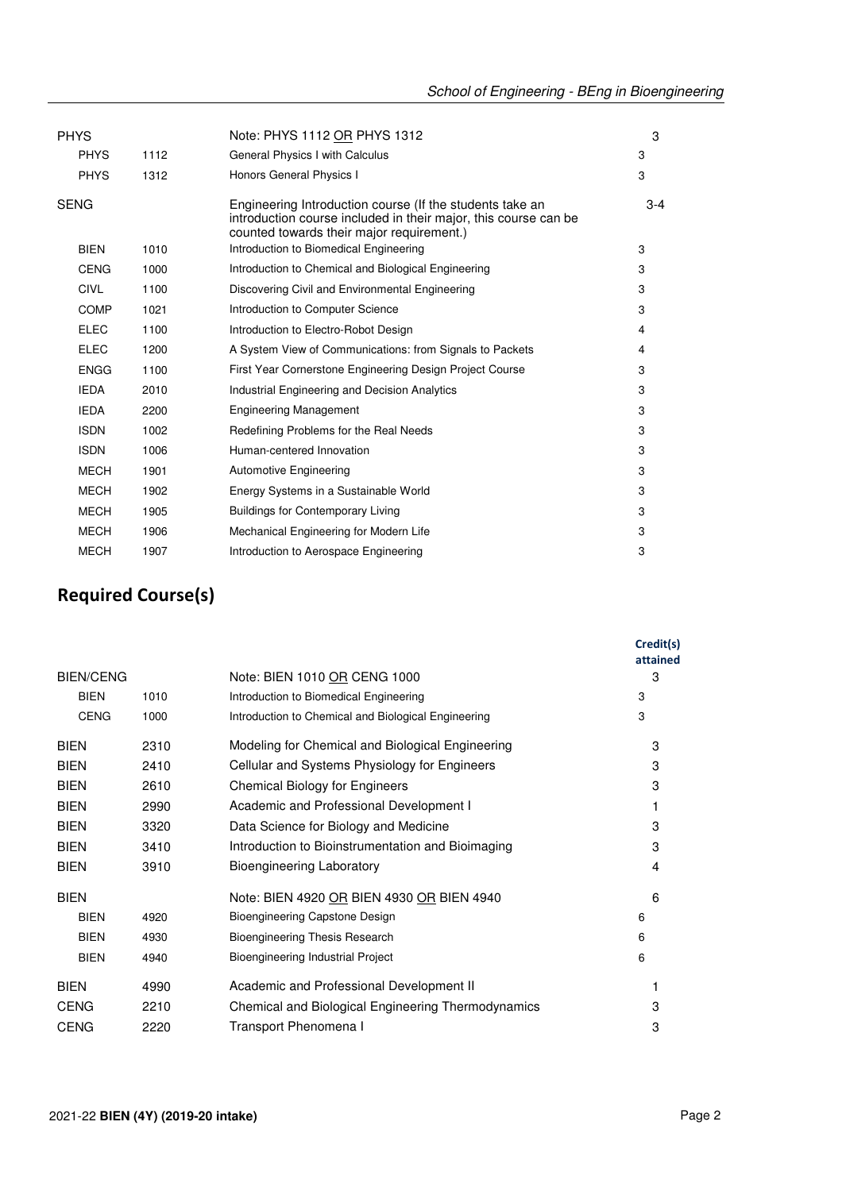| <b>PHYS</b> |      | Note: PHYS 1112 OR PHYS 1312                                                                                                                                             | 3       |
|-------------|------|--------------------------------------------------------------------------------------------------------------------------------------------------------------------------|---------|
| <b>PHYS</b> | 1112 | General Physics I with Calculus                                                                                                                                          | 3       |
| <b>PHYS</b> | 1312 | Honors General Physics I                                                                                                                                                 | 3       |
| <b>SENG</b> |      | Engineering Introduction course (If the students take an<br>introduction course included in their major, this course can be<br>counted towards their major requirement.) | $3 - 4$ |
| <b>BIEN</b> | 1010 | Introduction to Biomedical Engineering                                                                                                                                   | 3       |
| <b>CENG</b> | 1000 | Introduction to Chemical and Biological Engineering                                                                                                                      | 3       |
| <b>CIVL</b> | 1100 | Discovering Civil and Environmental Engineering                                                                                                                          | 3       |
| <b>COMP</b> | 1021 | Introduction to Computer Science                                                                                                                                         | 3       |
| <b>ELEC</b> | 1100 | Introduction to Electro-Robot Design                                                                                                                                     | 4       |
| <b>ELEC</b> | 1200 | A System View of Communications: from Signals to Packets                                                                                                                 | 4       |
| <b>ENGG</b> | 1100 | First Year Cornerstone Engineering Design Project Course                                                                                                                 | 3       |
| <b>IEDA</b> | 2010 | <b>Industrial Engineering and Decision Analytics</b>                                                                                                                     | 3       |
| <b>IEDA</b> | 2200 | <b>Engineering Management</b>                                                                                                                                            | 3       |
| <b>ISDN</b> | 1002 | Redefining Problems for the Real Needs                                                                                                                                   | 3       |
| <b>ISDN</b> | 1006 | Human-centered Innovation                                                                                                                                                | 3       |
| <b>MECH</b> | 1901 | <b>Automotive Engineering</b>                                                                                                                                            | 3       |
| <b>MECH</b> | 1902 | Energy Systems in a Sustainable World                                                                                                                                    | 3       |
| <b>MECH</b> | 1905 | <b>Buildings for Contemporary Living</b>                                                                                                                                 | 3       |
| <b>MECH</b> | 1906 | Mechanical Engineering for Modern Life                                                                                                                                   | 3       |
| <b>MECH</b> | 1907 | Introduction to Aerospace Engineering                                                                                                                                    | 3       |

## **Required Course(s)**

|                  |      |                                                     | Credit(s)<br>attained |
|------------------|------|-----------------------------------------------------|-----------------------|
| <b>BIEN/CENG</b> |      | Note: BIEN 1010 OR CENG 1000                        | 3                     |
| <b>BIEN</b>      | 1010 | Introduction to Biomedical Engineering              | 3                     |
| <b>CENG</b>      | 1000 | Introduction to Chemical and Biological Engineering | 3                     |
| <b>BIEN</b>      | 2310 | Modeling for Chemical and Biological Engineering    | 3                     |
| <b>BIEN</b>      | 2410 | Cellular and Systems Physiology for Engineers       | 3                     |
| <b>BIEN</b>      | 2610 | <b>Chemical Biology for Engineers</b>               | 3                     |
| <b>BIEN</b>      | 2990 | Academic and Professional Development I             |                       |
| <b>BIEN</b>      | 3320 | Data Science for Biology and Medicine               | 3                     |
| <b>BIEN</b>      | 3410 | Introduction to Bioinstrumentation and Bioimaging   | 3                     |
| <b>BIEN</b>      | 3910 | <b>Bioengineering Laboratory</b>                    | 4                     |
| <b>BIEN</b>      |      | Note: BIEN 4920 OR BIEN 4930 OR BIEN 4940           | 6                     |
| <b>BIEN</b>      | 4920 | Bioengineering Capstone Design                      | 6                     |
| <b>BIEN</b>      | 4930 | <b>Bioengineering Thesis Research</b>               | 6                     |
| <b>BIEN</b>      | 4940 | Bioengineering Industrial Project                   | 6                     |
| <b>BIEN</b>      | 4990 | Academic and Professional Development II            |                       |
| <b>CENG</b>      | 2210 | Chemical and Biological Engineering Thermodynamics  | 3                     |
| <b>CENG</b>      | 2220 | Transport Phenomena I                               | 3                     |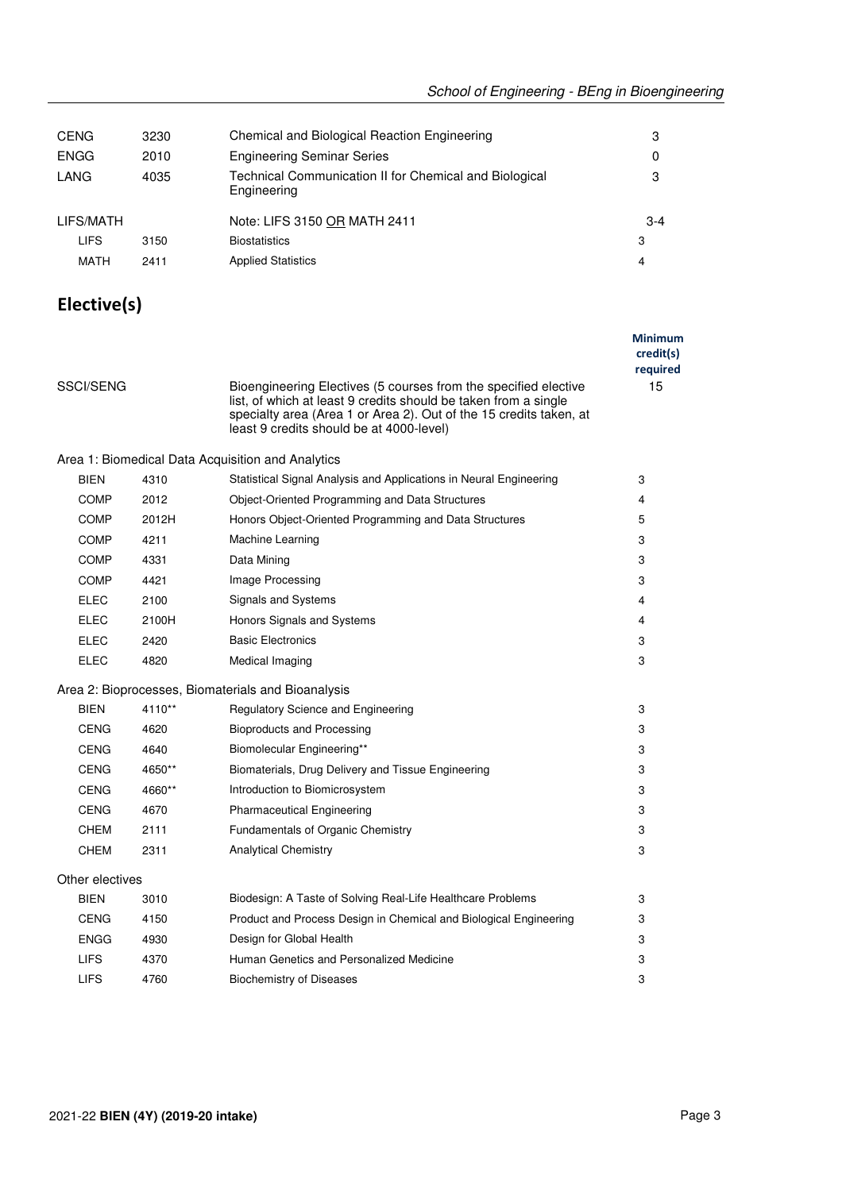| <b>CENG</b> | 3230 | Chemical and Biological Reaction Engineering                          | 3     |
|-------------|------|-----------------------------------------------------------------------|-------|
| <b>ENGG</b> | 2010 | <b>Engineering Seminar Series</b>                                     | 0     |
| LANG        | 4035 | Technical Communication II for Chemical and Biological<br>Engineering | 3     |
| LIFS/MATH   |      | Note: LIFS 3150 OR MATH 2411                                          | $3-4$ |
| <b>LIFS</b> | 3150 | <b>Biostatistics</b>                                                  | 3     |
| MATH        | 2411 | <b>Applied Statistics</b>                                             | 4     |
|             |      |                                                                       |       |

### **Elective(s)**

|                 |          |                                                                                                                                                                                                                                                      | <b>Minimum</b><br>credit(s)<br>required |
|-----------------|----------|------------------------------------------------------------------------------------------------------------------------------------------------------------------------------------------------------------------------------------------------------|-----------------------------------------|
| SSCI/SENG       |          | Bioengineering Electives (5 courses from the specified elective<br>list, of which at least 9 credits should be taken from a single<br>specialty area (Area 1 or Area 2). Out of the 15 credits taken, at<br>least 9 credits should be at 4000-level) | 15                                      |
|                 |          | Area 1: Biomedical Data Acquisition and Analytics                                                                                                                                                                                                    |                                         |
| <b>BIEN</b>     | 4310     | Statistical Signal Analysis and Applications in Neural Engineering                                                                                                                                                                                   | 3                                       |
| <b>COMP</b>     | 2012     | Object-Oriented Programming and Data Structures                                                                                                                                                                                                      | 4                                       |
| <b>COMP</b>     | 2012H    | Honors Object-Oriented Programming and Data Structures                                                                                                                                                                                               | 5                                       |
| <b>COMP</b>     | 4211     | Machine Learning                                                                                                                                                                                                                                     | 3                                       |
| <b>COMP</b>     | 4331     | Data Mining                                                                                                                                                                                                                                          | 3                                       |
| <b>COMP</b>     | 4421     | Image Processing                                                                                                                                                                                                                                     | 3                                       |
| ELEC            | 2100     | Signals and Systems                                                                                                                                                                                                                                  | 4                                       |
| <b>ELEC</b>     | 2100H    | Honors Signals and Systems                                                                                                                                                                                                                           | 4                                       |
| ELEC            | 2420     | <b>Basic Electronics</b>                                                                                                                                                                                                                             | 3                                       |
| ELEC            | 4820     | Medical Imaging                                                                                                                                                                                                                                      | 3                                       |
|                 |          | Area 2: Bioprocesses, Biomaterials and Bioanalysis                                                                                                                                                                                                   |                                         |
| <b>BIEN</b>     | $4110**$ | Regulatory Science and Engineering                                                                                                                                                                                                                   | 3                                       |
| <b>CENG</b>     | 4620     | <b>Bioproducts and Processing</b>                                                                                                                                                                                                                    | 3                                       |
| CENG            | 4640     | Biomolecular Engineering**                                                                                                                                                                                                                           | 3                                       |
| <b>CENG</b>     | 4650**   | Biomaterials, Drug Delivery and Tissue Engineering                                                                                                                                                                                                   | 3                                       |
| CENG            | 4660**   | Introduction to Biomicrosystem                                                                                                                                                                                                                       | 3                                       |
| <b>CENG</b>     | 4670     | <b>Pharmaceutical Engineering</b>                                                                                                                                                                                                                    | 3                                       |
| <b>CHEM</b>     | 2111     | Fundamentals of Organic Chemistry                                                                                                                                                                                                                    | 3                                       |
| <b>CHEM</b>     | 2311     | <b>Analytical Chemistry</b>                                                                                                                                                                                                                          | 3                                       |
| Other electives |          |                                                                                                                                                                                                                                                      |                                         |
| <b>BIEN</b>     | 3010     | Biodesign: A Taste of Solving Real-Life Healthcare Problems                                                                                                                                                                                          | 3                                       |
| <b>CENG</b>     | 4150     | Product and Process Design in Chemical and Biological Engineering                                                                                                                                                                                    | 3                                       |
| <b>ENGG</b>     | 4930     | Design for Global Health                                                                                                                                                                                                                             | 3                                       |
| <b>LIFS</b>     | 4370     | Human Genetics and Personalized Medicine                                                                                                                                                                                                             | 3                                       |
| <b>LIFS</b>     | 4760     | <b>Biochemistry of Diseases</b>                                                                                                                                                                                                                      | 3                                       |
|                 |          |                                                                                                                                                                                                                                                      |                                         |